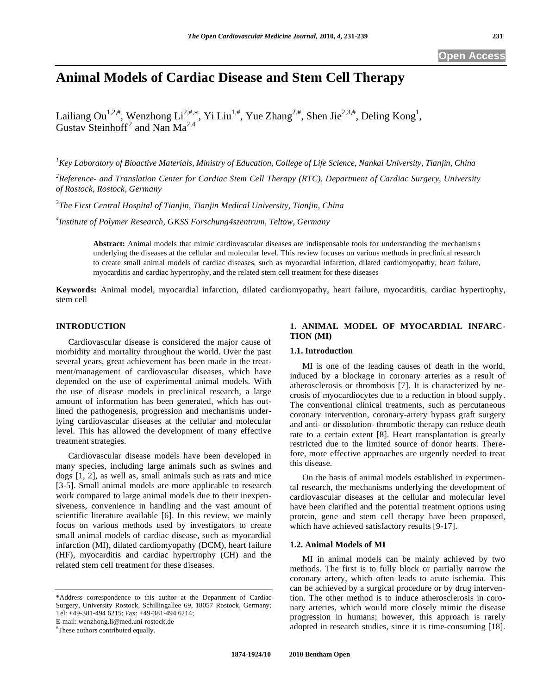# **Animal Models of Cardiac Disease and Stem Cell Therapy**

Lailiang Ou<sup>1,2,#</sup>, Wenzhong Li<sup>2,#,\*</sup>, Yi Liu<sup>1,#</sup>, Yue Zhang<sup>2,#</sup>, Shen Jie<sup>2,3,#</sup>, Deling Kong<sup>1</sup>, Gustav Steinhoff<sup>2</sup> and Nan Ma<sup>2,4</sup>

*1 Key Laboratory of Bioactive Materials, Ministry of Education, College of Life Science, Nankai University, Tianjin, China* 

<sup>2</sup> Reference- and Translation Center for Cardiac Stem Cell Therapy (RTC), Department of Cardiac Surgery, University *of Rostock, Rostock, Germany* 

*3 The First Central Hospital of Tianjin, Tianjin Medical University, Tianjin, China* 

*4 Institute of Polymer Research, GKSS Forschung4szentrum, Teltow, Germany*

**Abstract:** Animal models that mimic cardiovascular diseases are indispensable tools for understanding the mechanisms underlying the diseases at the cellular and molecular level. This review focuses on various methods in preclinical research to create small animal models of cardiac diseases, such as myocardial infarction, dilated cardiomyopathy, heart failure, myocarditis and cardiac hypertrophy, and the related stem cell treatment for these diseases

**Keywords:** Animal model, myocardial infarction, dilated cardiomyopathy, heart failure, myocarditis, cardiac hypertrophy, stem cell

# **INTRODUCTION**

 Cardiovascular disease is considered the major cause of morbidity and mortality throughout the world. Over the past several years, great achievement has been made in the treatment/management of cardiovascular diseases, which have depended on the use of experimental animal models. With the use of disease models in preclinical research, a large amount of information has been generated, which has outlined the pathogenesis, progression and mechanisms underlying cardiovascular diseases at the cellular and molecular level. This has allowed the development of many effective treatment strategies.

 Cardiovascular disease models have been developed in many species, including large animals such as swines and dogs [1, 2], as well as, small animals such as rats and mice [3-5]. Small animal models are more applicable to research work compared to large animal models due to their inexpensiveness, convenience in handling and the vast amount of scientific literature available [6]. In this review, we mainly focus on various methods used by investigators to create small animal models of cardiac disease, such as myocardial infarction (MI), dilated cardiomyopathy (DCM), heart failure (HF), myocarditis and cardiac hypertrophy (CH) and the related stem cell treatment for these diseases.

E-mail: wenzhong.li@med.uni-rostock.de #

These authors contributed equally.

# **1. ANIMAL MODEL OF MYOCARDIAL INFARC-TION (MI)**

# **1.1. Introduction**

 MI is one of the leading causes of death in the world, induced by a blockage in coronary arteries as a result of atherosclerosis or thrombosis [7]. It is characterized by necrosis of myocardiocytes due to a reduction in blood supply. The conventional clinical treatments, such as percutaneous coronary intervention, coronary-artery bypass graft surgery and anti- or dissolution- thrombotic therapy can reduce death rate to a certain extent [8]. Heart transplantation is greatly restricted due to the limited source of donor hearts. Therefore, more effective approaches are urgently needed to treat this disease.

 On the basis of animal models established in experimental research, the mechanisms underlying the development of cardiovascular diseases at the cellular and molecular level have been clarified and the potential treatment options using protein, gene and stem cell therapy have been proposed, which have achieved satisfactory results [9-17].

# **1.2. Animal Models of MI**

 MI in animal models can be mainly achieved by two methods. The first is to fully block or partially narrow the coronary artery, which often leads to acute ischemia. This can be achieved by a surgical procedure or by drug intervention. The other method is to induce atherosclerosis in coronary arteries, which would more closely mimic the disease progression in humans; however, this approach is rarely adopted in research studies, since it is time-consuming [18].

<sup>\*</sup>Address correspondence to this author at the Department of Cardiac Surgery, University Rostock, Schillingallee 69, 18057 Rostock, Germany; Tel: +49-381-494 6215; Fax: +49-381-494 6214;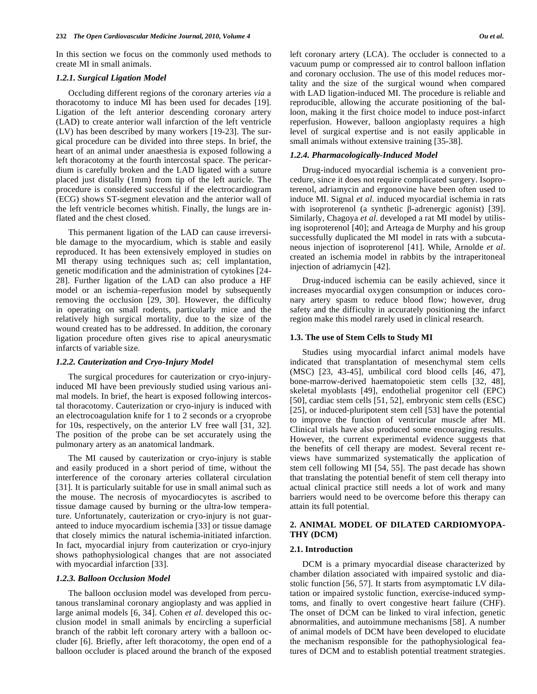In this section we focus on the commonly used methods to create MI in small animals.

#### *1.2.1. Surgical Ligation Model*

 Occluding different regions of the coronary arteries *via* a thoracotomy to induce MI has been used for decades [19]. Ligation of the left anterior descending coronary artery (LAD) to create anterior wall infarction of the left ventricle (LV) has been described by many workers [19-23]. The surgical procedure can be divided into three steps. In brief, the heart of an animal under anaesthesia is exposed following a left thoracotomy at the fourth intercostal space. The pericardium is carefully broken and the LAD ligated with a suture placed just distally (1mm) from tip of the left auricle. The procedure is considered successful if the electrocardiogram (ECG) shows ST-segment elevation and the anterior wall of the left ventricle becomes whitish. Finally, the lungs are inflated and the chest closed.

 This permanent ligation of the LAD can cause irreversible damage to the myocardium, which is stable and easily reproduced. It has been extensively employed in studies on MI therapy using techniques such as; cell implantation, genetic modification and the administration of cytokines [24- 28]. Further ligation of the LAD can also produce a HF model or an ischemia–reperfusion model by subsequently removing the occlusion [29, 30]. However, the difficulty in operating on small rodents, particularly mice and the relatively high surgical mortality, due to the size of the wound created has to be addressed. In addition, the coronary ligation procedure often gives rise to apical aneurysmatic infarcts of variable size.

#### *1.2.2. Cauterization and Cryo-Injury Model*

 The surgical procedures for cauterization or cryo-injuryinduced MI have been previously studied using various animal models. In brief, the heart is exposed following intercostal thoracotomy. Cauterization or cryo-injury is induced with an electrocoagulation knife for 1 to 2 seconds or a cryoprobe for 10s, respectively, on the anterior LV free wall [31, 32]. The position of the probe can be set accurately using the pulmonary artery as an anatomical landmark.

 The MI caused by cauterization or cryo-injury is stable and easily produced in a short period of time, without the interference of the coronary arteries collateral circulation [31]. It is particularly suitable for use in small animal such as the mouse. The necrosis of myocardiocytes is ascribed to tissue damage caused by burning or the ultra-low temperature. Unfortunately, cauterization or cryo-injury is not guaranteed to induce myocardium ischemia [33] or tissue damage that closely mimics the natural ischemia-initiated infarction. In fact, myocardial injury from cauterization or cryo-injury shows pathophysiological changes that are not associated with myocardial infarction [33].

# *1.2.3. Balloon Occlusion Model*

 The balloon occlusion model was developed from percutanous translaminal coronary angioplasty and was applied in large animal models [6, 34]. Cohen *et al*. developed this occlusion model in small animals by encircling a superficial branch of the rabbit left coronary artery with a balloon occluder [6]. Briefly, after left thoracotomy, the open end of a balloon occluder is placed around the branch of the exposed left coronary artery (LCA). The occluder is connected to a vacuum pump or compressed air to control balloon inflation and coronary occlusion. The use of this model reduces mortality and the size of the surgical wound when compared with LAD ligation-induced MI. The procedure is reliable and reproducible, allowing the accurate positioning of the balloon, making it the first choice model to induce post-infarct reperfusion. However, balloon angioplasty requires a high level of surgical expertise and is not easily applicable in small animals without extensive training [35-38].

# *1.2.4. Pharmacologically-Induced Model*

 Drug-induced myocardial ischemia is a convenient procedure, since it does not require complicated surgery. Isoproterenol, adriamycin and ergonovine have been often used to induce MI. Signal *et al*. induced myocardial ischemia in rats with isoproterenol (a synthetic  $\beta$ -adrenergic agonist) [39]. Similarly, Chagoya *et al*. developed a rat MI model by utilising isoproterenol [40]; and Arteaga de Murphy and his group successfully duplicated the MI model in rats with a subcutaneous injection of isoproterenol [41]. While, Arnolde *et al*. created an ischemia model in rabbits by the intraperitoneal injection of adriamycin [42].

 Drug-induced ischemia can be easily achieved, since it increases myocardial oxygen consumption or induces coronary artery spasm to reduce blood flow; however, drug safety and the difficulty in accurately positioning the infarct region make this model rarely used in clinical research.

#### **1.3. The use of Stem Cells to Study MI**

 Studies using myocardial infarct animal models have indicated that transplantation of mesenchymal stem cells (MSC) [23, 43-45], umbilical cord blood cells [46, 47], bone-marrow-derived haematopoietic stem cells [32, 48], skeletal myoblasts [49], endothelial progenitor cell (EPC) [50], cardiac stem cells [51, 52], embryonic stem cells (ESC) [25], or induced-pluripotent stem cell [53] have the potential to improve the function of ventricular muscle after MI. Clinical trials have also produced some encouraging results. However, the current experimental evidence suggests that the benefits of cell therapy are modest. Several recent reviews have summarized systematically the application of stem cell following MI [54, 55]. The past decade has shown that translating the potential benefit of stem cell therapy into actual clinical practice still needs a lot of work and many barriers would need to be overcome before this therapy can attain its full potential.

# **2. ANIMAL MODEL OF DILATED CARDIOMYOPA-THY (DCM)**

#### **2.1. Introduction**

 DCM is a primary myocardial disease characterized by chamber dilation associated with impaired systolic and diastolic function [56, 57]. It starts from asymptomatic LV dilatation or impaired systolic function, exercise-induced symptoms, and finally to overt congestive heart failure (CHF). The onset of DCM can be linked to viral infection, genetic abnormalities, and autoimmune mechanisms [58]. A number of animal models of DCM have been developed to elucidate the mechanism responsible for the pathophysiological features of DCM and to establish potential treatment strategies.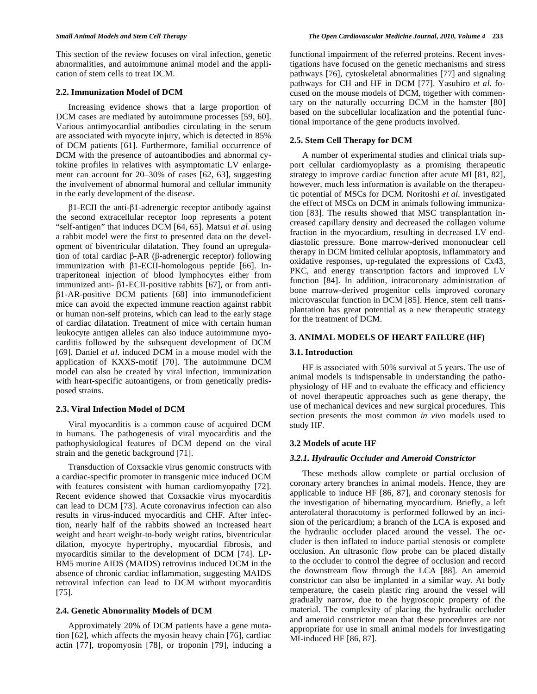This section of the review focuses on viral infection, genetic abnormalities, and autoimmune animal model and the application of stem cells to treat DCM.

# **2.2. Immunization Model of DCM**

 Increasing evidence shows that a large proportion of DCM cases are mediated by autoimmune processes [59, 60]. Various antimyocardial antibodies circulating in the serum are associated with myocyte injury, which is detected in 85% of DCM patients [61]. Furthermore, familial occurrence of DCM with the presence of autoantibodies and abnormal cytokine profiles in relatives with asymptomatic LV enlargement can account for 20–30% of cases [62, 63], suggesting the involvement of abnormal humoral and cellular immunity in the early development of the disease.

 $\beta$ 1-ECII the anti- $\beta$ 1-adrenergic receptor antibody against the second extracellular receptor loop represents a potent "self-antigen" that induces DCM [64, 65]. Matsui *et al*. using a rabbit model were the first to presented data on the development of biventricular dilatation. They found an upregulation of total cardiac  $\beta$ -AR ( $\beta$ -adrenergic receptor) following immunization with  $\beta$ 1-ECII-homologous peptide [66]. Intraperitoneal injection of blood lymphocytes either from immunized anti- $\beta$ 1-ECII-positive rabbits [67], or from anti- $\beta$ 1-AR-positive DCM patients [68] into immunodeficient mice can avoid the expected immune reaction against rabbit or human non-self proteins, which can lead to the early stage of cardiac dilatation. Treatment of mice with certain human leukocyte antigen alleles can also induce autoimmune myocarditis followed by the subsequent development of DCM [69]. Daniel *et al*. induced DCM in a mouse model with the application of KXXS-motif [70]. The autoimmune DCM model can also be created by viral infection, immunization with heart-specific autoantigens, or from genetically predisposed strains.

# **2.3. Viral Infection Model of DCM**

 Viral myocarditis is a common cause of acquired DCM in humans. The pathogenesis of viral myocarditis and the pathophysiological features of DCM depend on the viral strain and the genetic background [71].

 Transduction of Coxsackie virus genomic constructs with a cardiac-specific promoter in transgenic mice induced DCM with features consistent with human cardiomyopathy [72]. Recent evidence showed that Coxsackie virus myocarditis can lead to DCM [73]. Acute coronavirus infection can also results in virus-induced myocarditis and CHF. After infection, nearly half of the rabbits showed an increased heart weight and heart weight-to-body weight ratios, biventricular dilation, myocyte hypertrophy, myocardial fibrosis, and myocarditis similar to the development of DCM [74]. LP-BM5 murine AIDS (MAIDS) retrovirus induced DCM in the absence of chronic cardiac inflammation, suggesting MAIDS retroviral infection can lead to DCM without myocarditis [75].

# **2.4. Genetic Abnormality Models of DCM**

 Approximately 20% of DCM patients have a gene mutation [62], which affects the myosin heavy chain [76], cardiac actin [77], tropomyosin [78], or troponin [79], inducing a functional impairment of the referred proteins. Recent investigations have focused on the genetic mechanisms and stress pathways [76], cytoskeletal abnormalities [77] and signaling pathways for CH and HF in DCM [77]. Yasuhiro *et al*. focused on the mouse models of DCM, together with commentary on the naturally occurring DCM in the hamster [80] based on the subcellular localization and the potential functional importance of the gene products involved.

# **2.5. Stem Cell Therapy for DCM**

 A number of experimental studies and clinical trials support cellular cardiomyoplasty as a promising therapeutic strategy to improve cardiac function after acute MI [81, 82], however, much less information is available on the therapeutic potential of MSCs for DCM. Noritoshi *et al.* investigated the effect of MSCs on DCM in animals following immunization [83]. The results showed that MSC transplantation increased capillary density and decreased the collagen volume fraction in the myocardium, resulting in decreased LV enddiastolic pressure. Bone marrow-derived mononuclear cell therapy in DCM limited cellular apoptosis, inflammatory and oxidative responses, up-regulated the expressions of Cx43, PKC, and energy transcription factors and improved LV function [84]. In addition, intracoronary administration of bone marrow-derived progenitor cells improved coronary microvascular function in DCM [85]. Hence, stem cell transplantation has great potential as a new therapeutic strategy for the treatment of DCM.

# **3. ANIMAL MODELS OF HEART FAILURE (HF)**

# **3.1. Introduction**

 HF is associated with 50% survival at 5 years. The use of animal models is indispensable in understanding the pathophysiology of HF and to evaluate the efficacy and efficiency of novel therapeutic approaches such as gene therapy, the use of mechanical devices and new surgical procedures. This section presents the most common *in vivo* models used to study HF.

#### **3.2 Models of acute HF**

#### *3.2.1. Hydraulic Occluder and Ameroid Constrictor*

 These methods allow complete or partial occlusion of coronary artery branches in animal models. Hence, they are applicable to induce HF [86, 87], and coronary stenosis for the investigation of hibernating myocardium. Briefly, a left anterolateral thoracotomy is performed followed by an incision of the pericardium; a branch of the LCA is exposed and the hydraulic occluder placed around the vessel. The occluder is then inflated to induce partial stenosis or complete occlusion. An ultrasonic flow probe can be placed distally to the occluder to control the degree of occlusion and record the downstream flow through the LCA [88]. An ameroid constrictor can also be implanted in a similar way. At body temperature, the casein plastic ring around the vessel will gradually narrow, due to the hygroscopic property of the material. The complexity of placing the hydraulic occluder and ameroid constrictor mean that these procedures are not appropriate for use in small animal models for investigating MI-induced HF [86, 87].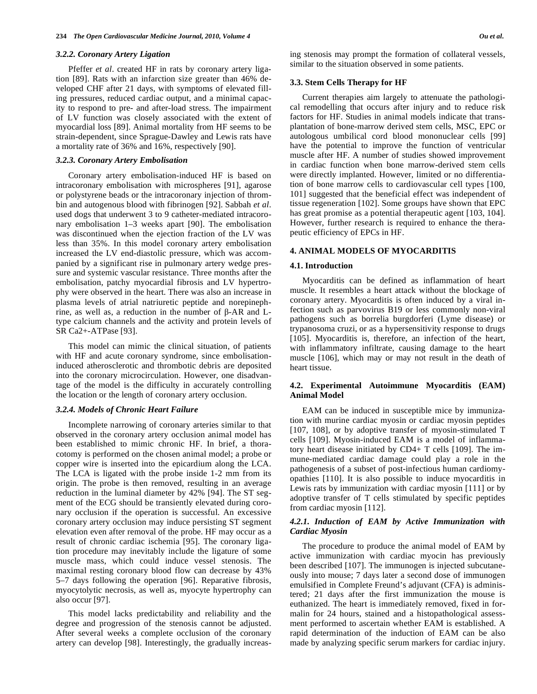#### *3.2.2. Coronary Artery Ligation*

 Pfeffer *et al*. created HF in rats by coronary artery ligation [89]. Rats with an infarction size greater than 46% developed CHF after 21 days, with symptoms of elevated filling pressures, reduced cardiac output, and a minimal capacity to respond to pre- and after-load stress. The impairment of LV function was closely associated with the extent of myocardial loss [89]. Animal mortality from HF seems to be strain-dependent, since Sprague-Dawley and Lewis rats have a mortality rate of 36% and 16%, respectively [90].

# *3.2.3. Coronary Artery Embolisation*

 Coronary artery embolisation-induced HF is based on intracoronary embolisation with microspheres [91], agarose or polystyrene beads or the intracoronary injection of thrombin and autogenous blood with fibrinogen [92]. Sabbah *et al*. used dogs that underwent 3 to 9 catheter-mediated intracoronary embolisation 1–3 weeks apart [90]. The embolisation was discontinued when the ejection fraction of the LV was less than 35%. In this model coronary artery embolisation increased the LV end-diastolic pressure, which was accompanied by a significant rise in pulmonary artery wedge pressure and systemic vascular resistance. Three months after the embolisation, patchy myocardial fibrosis and LV hypertrophy were observed in the heart. There was also an increase in plasma levels of atrial natriuretic peptide and norepinephrine, as well as, a reduction in the number of  $\beta$ -AR and Ltype calcium channels and the activity and protein levels of SR Ca2+-ATPase [93].

 This model can mimic the clinical situation, of patients with HF and acute coronary syndrome, since embolisationinduced atherosclerotic and thrombotic debris are deposited into the coronary microcirculation. However, one disadvantage of the model is the difficulty in accurately controlling the location or the length of coronary artery occlusion.

# *3.2.4. Models of Chronic Heart Failure*

 Incomplete narrowing of coronary arteries similar to that observed in the coronary artery occlusion animal model has been established to mimic chronic HF. In brief, a thoracotomy is performed on the chosen animal model; a probe or copper wire is inserted into the epicardium along the LCA. The LCA is ligated with the probe inside 1-2 mm from its origin. The probe is then removed, resulting in an average reduction in the luminal diameter by 42% [94]. The ST segment of the ECG should be transiently elevated during coronary occlusion if the operation is successful. An excessive coronary artery occlusion may induce persisting ST segment elevation even after removal of the probe. HF may occur as a result of chronic cardiac ischemia [95]. The coronary ligation procedure may inevitably include the ligature of some muscle mass, which could induce vessel stenosis. The maximal resting coronary blood flow can decrease by 43% 5–7 days following the operation [96]. Reparative fibrosis, myocytolytic necrosis, as well as, myocyte hypertrophy can also occur [97].

 This model lacks predictability and reliability and the degree and progression of the stenosis cannot be adjusted. After several weeks a complete occlusion of the coronary artery can develop [98]. Interestingly, the gradually increasing stenosis may prompt the formation of collateral vessels, similar to the situation observed in some patients.

#### **3.3. Stem Cells Therapy for HF**

 Current therapies aim largely to attenuate the pathological remodelling that occurs after injury and to reduce risk factors for HF. Studies in animal models indicate that transplantation of bone-marrow derived stem cells, MSC, EPC or autologous umbilical cord blood mononuclear cells [99] have the potential to improve the function of ventricular muscle after HF. A number of studies showed improvement in cardiac function when bone marrow-derived stem cells were directly implanted. However, limited or no differentiation of bone marrow cells to cardiovascular cell types [100, 101] suggested that the beneficial effect was independent of tissue regeneration [102]. Some groups have shown that EPC has great promise as a potential therapeutic agent [103, 104]. However, further research is required to enhance the therapeutic efficiency of EPCs in HF.

# **4. ANIMAL MODELS OF MYOCARDITIS**

#### **4.1. Introduction**

 Myocarditis can be defined as inflammation of heart muscle. It resembles a heart attack without the blockage of coronary artery. Myocarditis is often induced by a viral infection such as parvovirus B19 or less commonly non-viral pathogens such as borrelia burgdorferi (Lyme disease) or trypanosoma cruzi, or as a hypersensitivity response to drugs [105]. Myocarditis is, therefore, an infection of the heart, with inflammatory infiltrate, causing damage to the heart muscle [106], which may or may not result in the death of heart tissue.

# **4.2. Experimental Autoimmune Myocarditis (EAM) Animal Model**

 EAM can be induced in susceptible mice by immunization with murine cardiac myosin or cardiac myosin peptides [107, 108], or by adoptive transfer of myosin-stimulated T cells [109]. Myosin-induced EAM is a model of inflammatory heart disease initiated by CD4+ T cells [109]. The immune-mediated cardiac damage could play a role in the pathogenesis of a subset of post-infectious human cardiomyopathies [110]. It is also possible to induce myocarditis in Lewis rats by immunization with cardiac myosin [111] or by adoptive transfer of T cells stimulated by specific peptides from cardiac myosin [112].

# *4.2.1. Induction of EAM by Active Immunization with Cardiac Myosin*

 The procedure to produce the animal model of EAM by active immunization with cardiac myocin has previously been described [107]. The immunogen is injected subcutaneously into mouse; 7 days later a second dose of immunogen emulsified in Complete Freund's adjuvant (CFA) is administered; 21 days after the first immunization the mouse is euthanized. The heart is immediately removed, fixed in formalin for 24 hours, stained and a histopathological assessment performed to ascertain whether EAM is established. A rapid determination of the induction of EAM can be also made by analyzing specific serum markers for cardiac injury.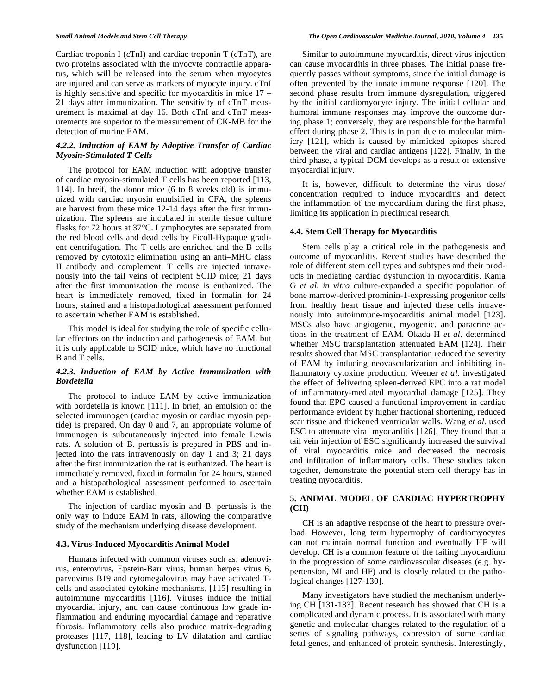Cardiac troponin I (cTnI) and cardiac troponin T (cTnT), are two proteins associated with the myocyte contractile apparatus, which will be released into the serum when myocytes are injured and can serve as markers of myocyte injury. cTnI is highly sensitive and specific for myocarditis in mice 17 – 21 days after immunization. The sensitivity of cTnT measurement is maximal at day 16. Both cTnI and cTnT measurements are superior to the measurement of CK-MB for the detection of murine EAM.

# *4.2.2. Induction of EAM by Adoptive Transfer of Cardiac Myosin-Stimulated T Cells*

 The protocol for EAM induction with adoptive transfer of cardiac myosin-stimulated T cells has been reported [113, 114]. In breif, the donor mice (6 to 8 weeks old) is immunized with cardiac myosin emulsified in CFA, the spleens are harvest from these mice 12-14 days after the first immunization. The spleens are incubated in sterile tissue culture flasks for 72 hours at 37°C. Lymphocytes are separated from the red blood cells and dead cells by Ficoll-Hypaque gradient centrifugation. The T cells are enriched and the B cells removed by cytotoxic elimination using an anti–MHC class II antibody and complement. T cells are injected intravenously into the tail veins of recipient SCID mice; 21 days after the first immunization the mouse is euthanized. The heart is immediately removed, fixed in formalin for 24 hours, stained and a histopathological assessment performed to ascertain whether EAM is established.

 This model is ideal for studying the role of specific cellular effectors on the induction and pathogenesis of EAM, but it is only applicable to SCID mice, which have no functional B and T cells.

# *4.2.3. Induction of EAM by Active Immunization with Bordetella*

 The protocol to induce EAM by active immunization with bordetella is known [111]. In brief, an emulsion of the selected immunogen (cardiac myosin or cardiac myosin peptide) is prepared. On day 0 and 7, an appropriate volume of immunogen is subcutaneously injected into female Lewis rats. A solution of B. pertussis is prepared in PBS and injected into the rats intravenously on day 1 and 3; 21 days after the first immunization the rat is euthanized. The heart is immediately removed, fixed in formalin for 24 hours, stained and a histopathological assessment performed to ascertain whether EAM is established.

 The injection of cardiac myosin and B. pertussis is the only way to induce EAM in rats, allowing the comparative study of the mechanism underlying disease development.

#### **4.3. Virus-Induced Myocarditis Animal Model**

 Humans infected with common viruses such as; adenovirus, enterovirus, Epstein-Barr virus, human herpes virus 6, parvovirus B19 and cytomegalovirus may have activated Tcells and associated cytokine mechanisms, [115] resulting in autoimmune myocarditis [116]. Viruses induce the initial myocardial injury, and can cause continuous low grade inflammation and enduring myocardial damage and reparative fibrosis. Inflammatory cells also produce matrix-degrading proteases [117, 118], leading to LV dilatation and cardiac dysfunction [119].

 Similar to autoimmune myocarditis, direct virus injection can cause myocarditis in three phases. The initial phase frequently passes without symptoms, since the initial damage is often prevented by the innate immune response [120]. The second phase results from immune dysregulation, triggered by the initial cardiomyocyte injury. The initial cellular and humoral immune responses may improve the outcome during phase 1; conversely, they are responsible for the harmful effect during phase 2. This is in part due to molecular mimicry [121], which is caused by mimicked epitopes shared between the viral and cardiac antigens [122]. Finally, in the third phase, a typical DCM develops as a result of extensive myocardial injury.

 It is, however, difficult to determine the virus dose/ concentration required to induce myocarditis and detect the inflammation of the myocardium during the first phase, limiting its application in preclinical research.

#### **4.4. Stem Cell Therapy for Myocarditis**

 Stem cells play a critical role in the pathogenesis and outcome of myocarditis. Recent studies have described the role of different stem cell types and subtypes and their products in mediating cardiac dysfunction in myocarditis. Kania G *et al*. *in vitro* culture-expanded a specific population of bone marrow-derived prominin-1-expressing progenitor cells from healthy heart tissue and injected these cells intravenously into autoimmune-myocarditis animal model [123]. MSCs also have angiogenic, myogenic, and paracrine actions in the treatment of EAM. Okada H *et al*. determined whether MSC transplantation attenuated EAM [124]. Their results showed that MSC transplantation reduced the severity of EAM by inducing neovascularization and inhibiting inflammatory cytokine production. Weener *et al*. investigated the effect of delivering spleen-derived EPC into a rat model of inflammatory-mediated myocardial damage [125]. They found that EPC caused a functional improvement in cardiac performance evident by higher fractional shortening, reduced scar tissue and thickened ventricular walls. Wang *et al.* used ESC to attenuate viral myocarditis [126]. They found that a tail vein injection of ESC significantly increased the survival of viral myocarditis mice and decreased the necrosis and infiltration of inflammatory cells. These studies taken together, demonstrate the potential stem cell therapy has in treating myocarditis.

# **5. ANIMAL MODEL OF CARDIAC HYPERTROPHY (CH)**

 CH is an adaptive response of the heart to pressure overload. However, long term hypertrophy of cardiomyocytes can not maintain normal function and eventually HF will develop. CH is a common feature of the failing myocardium in the progression of some cardiovascular diseases (e.g. hypertension, MI and HF) and is closely related to the pathological changes [127-130].

 Many investigators have studied the mechanism underlying CH [131-133]. Recent research has showed that CH is a complicated and dynamic process. It is associated with many genetic and molecular changes related to the regulation of a series of signaling pathways, expression of some cardiac fetal genes, and enhanced of protein synthesis. Interestingly,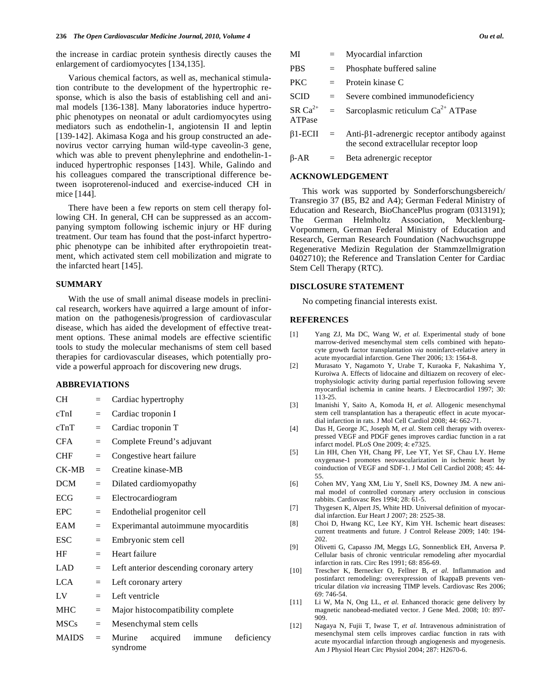the increase in cardiac protein synthesis directly causes the enlargement of cardiomyocytes [134,135].

 Various chemical factors, as well as, mechanical stimulation contribute to the development of the hypertrophic response, which is also the basis of establishing cell and animal models [136-138]. Many laboratories induce hypertrophic phenotypes on neonatal or adult cardiomyocytes using mediators such as endothelin-1, angiotensin II and leptin [139-142]. Akimasa Koga and his group constructed an adenovirus vector carrying human wild-type caveolin-3 gene, which was able to prevent phenylephrine and endothelin-1 induced hypertrophic responses [143]. While, Galindo and his colleagues compared the transcriptional difference between isoproterenol-induced and exercise-induced CH in mice [144].

 There have been a few reports on stem cell therapy following CH. In general, CH can be suppressed as an accompanying symptom following ischemic injury or HF during treatment. Our team has found that the post-infarct hypertrophic phenotype can be inhibited after erythropoietin treatment, which activated stem cell mobilization and migrate to the infarcted heart [145].

# **SUMMARY**

 With the use of small animal disease models in preclinical research, workers have aquirred a large amount of information on the pathogenesis/progression of cardiovascular disease, which has aided the development of effective treatment options. These animal models are effective scientific tools to study the molecular mechanisms of stem cell based therapies for cardiovascular diseases, which potentially provide a powerful approach for discovering new drugs.

# **ABBREVIATIONS**

| CH           | $=$ | Cardiac hypertrophy                                    |
|--------------|-----|--------------------------------------------------------|
| cTnI         | $=$ | Cardiac troponin I                                     |
| cTnT         | $=$ | Cardiac troponin T                                     |
| <b>CFA</b>   | $=$ | Complete Freund's adjuvant                             |
| <b>CHF</b>   | $=$ | Congestive heart failure                               |
| CK-MB        | $=$ | Creatine kinase-MB                                     |
| <b>DCM</b>   | $=$ | Dilated cardiomyopathy                                 |
| <b>ECG</b>   | $=$ | Electrocardiogram                                      |
| <b>EPC</b>   | $=$ | Endothelial progenitor cell                            |
| EAM          | $=$ | Experimantal autoimmune myocarditis                    |
| <b>ESC</b>   | $=$ | Embryonic stem cell                                    |
| HF           | $=$ | Heart failure                                          |
| LAD.         | $=$ | Left anterior descending coronary artery               |
| <b>LCA</b>   | $=$ | Left coronary artery                                   |
| LV           | $=$ | Left ventricle                                         |
| <b>MHC</b>   | $=$ | Major histocompatibility complete                      |
| <b>MSCs</b>  | $=$ | Mesenchymal stem cells                                 |
| <b>MAIDS</b> | $=$ | Murine<br>acquired<br>immune<br>deficiency<br>syndrome |

| MI                  | $=$     | Myocardial infarction                                                                  |
|---------------------|---------|----------------------------------------------------------------------------------------|
| <b>PBS</b>          | $=$     | Phosphate buffered saline                                                              |
| <b>PKC</b>          | $=$ $-$ | Protein kinase C                                                                       |
| <b>SCID</b>         | $=$ $-$ | Severe combined immunodeficiency                                                       |
| $SR Ca2+$<br>ATPase | $=$     | Sarcoplasmic reticulum $Ca^{2+}$ ATPase                                                |
| $\beta$ 1-ECII =    |         | Anti-β1-adrenergic receptor antibody against<br>the second extracellular receptor loop |
| $\beta$ -AR         | $=$ $-$ | Beta adrenergic receptor                                                               |

#### **ACKNOWLEDGEMENT**

 This work was supported by Sonderforschungsbereich/ Transregio 37 (B5, B2 and A4); German Federal Ministry of Education and Research, BioChancePlus program (0313191); The German Helmholtz Association, Mecklenburg-Vorpommern, German Federal Ministry of Education and Research, German Research Foundation (Nachwuchsgruppe Regenerative Medizin Regulation der Stammzellmigration 0402710); the Reference and Translation Center for Cardiac Stem Cell Therapy (RTC).

#### **DISCLOSURE STATEMENT**

No competing financial interests exist.

#### **REFERENCES**

- [1] Yang ZJ, Ma DC, Wang W, *et al*. Experimental study of bone marrow-derived mesenchymal stem cells combined with hepatocyte growth factor transplantation *via* noninfarct-relative artery in acute myocardial infarction. Gene Ther 2006; 13: 1564-8.
- [2] Murasato Y, Nagamoto Y, Urabe T, Kuraoka F, Nakashima Y, Kuroiwa A. Effects of lidocaine and diltiazem on recovery of electrophysiologic activity during partial reperfusion following severe myocardial ischemia in canine hearts. J Electrocardiol 1997; 30: 113-25.
- [3] Imanishi Y, Saito A, Komoda H, *et al*. Allogenic mesenchymal stem cell transplantation has a therapeutic effect in acute myocardial infarction in rats. J Mol Cell Cardiol 2008; 44: 662-71.
- [4] Das H, George JC, Joseph M, *et al*. Stem cell therapy with overexpressed VEGF and PDGF genes improves cardiac function in a rat infarct model. PLoS One 2009; 4: e7325.
- [5] Lin HH, Chen YH, Chang PF, Lee YT, Yet SF, Chau LY. Heme oxygenase-1 promotes neovascularization in ischemic heart by coinduction of VEGF and SDF-1. J Mol Cell Cardiol 2008; 45: 44- 55.
- [6] Cohen MV, Yang XM, Liu Y, Snell KS, Downey JM. A new animal model of controlled coronary artery occlusion in conscious rabbits. Cardiovasc Res 1994; 28: 61-5.
- [7] Thygesen K, Alpert JS, White HD. Universal definition of myocardial infarction. Eur Heart J 2007; 28: 2525-38.
- [8] Choi D, Hwang KC, Lee KY, Kim YH. Ischemic heart diseases: current treatments and future. J Control Release 2009; 140: 194- 202.
- [9] Olivetti G, Capasso JM, Meggs LG, Sonnenblick EH, Anversa P. Cellular basis of chronic ventricular remodeling after myocardial infarction in rats. Circ Res 1991; 68: 856-69.
- [10] Trescher K, Bernecker O, Fellner B, *et al*. Inflammation and postinfarct remodeling: overexpression of IkappaB prevents ventricular dilation *via* increasing TIMP levels. Cardiovasc Res 2006; 69: 746-54.
- [11] Li W, Ma N, Ong LL, *et al*. Enhanced thoracic gene delivery by magnetic nanobead-mediated vector. J Gene Med. 2008; 10: 897- 909.
- [12] Nagaya N, Fujii T, Iwase T, *et al*. Intravenous administration of mesenchymal stem cells improves cardiac function in rats with acute myocardial infarction through angiogenesis and myogenesis. Am J Physiol Heart Circ Physiol 2004; 287: H2670-6.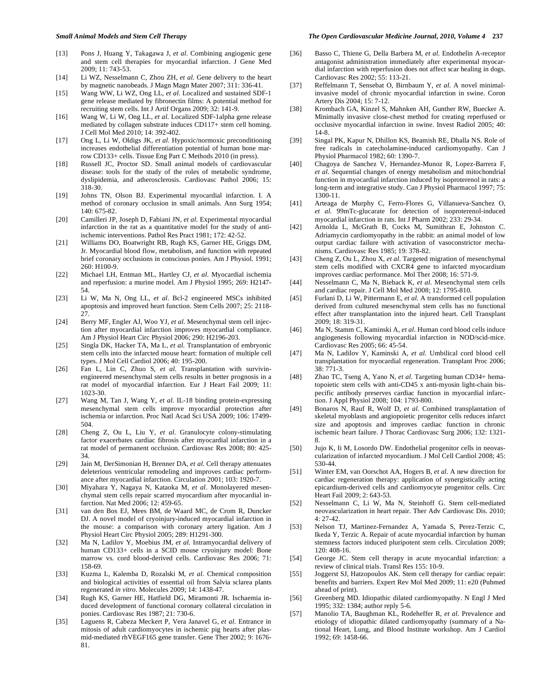- [13] Pons J, Huang Y, Takagawa J, *et al*. Combining angiogenic gene and stem cell therapies for myocardial infarction. J Gene Med 2009; 11: 743-53.
- [14] Li WZ, Nesselmann C, Zhou ZH, *et al*. Gene delivery to the heart by magnetic nanobeads. J Magn Magn Mater 2007; 311: 336-41.
- [15] Wang WW, Li WZ, Ong LL, *et al*. Localized and sustained SDF-1 gene release mediated by fibronectin films: A potential method for recruiting stem cells. Int J Artif Organs 2009; 32: 141-9.
- [16] Wang W, Li W, Ong LL, *et al*. Localized SDF-1alpha gene release mediated by collagen substrate induces CD117+ stem cell homing. J Cell Mol Med 2010; 14: 392-402.
- [17] Ong L, Li W, Oldigs JK, *et al*. Hypoxic/normoxic preconditioning increases endothelial differentiation potential of human bone marrow CD133+ cells. Tissue Eng Part C Methods 2010 (in press).
- [18] Russell JC, Proctor SD. Small animal models of cardiovascular disease: tools for the study of the roles of metabolic syndrome, dyslipidemia, and atherosclerosis. Cardiovasc Pathol 2006; 15: 318-30.
- [19] Johns TN, Olson BJ. Experimental myocardial infarction. I. A method of coronary occlusion in small animals. Ann Surg 1954;  $140.675 - 82$
- [20] Camilleri JP, Joseph D, Fabiani JN, *et al*. Experimental myocardial infarction in the rat as a quantitative model for the study of antiischemic interventions. Pathol Res Pract 1981; 172: 42-52.
- [21] Williams DO, Boatwright RB, Rugh KS, Garner HE, Griggs DM, Jr. Myocardial blood flow, metabolism, and function with repeated brief coronary occlusions in conscious ponies. Am J Physiol. 1991; 260: H100-9.
- [22] Michael LH, Entman ML, Hartley CJ, *et al*. Myocardial ischemia and reperfusion: a murine model. Am J Physiol 1995; 269: H2147- 54.
- [23] Li W, Ma N, Ong LL, *et al*. Bcl-2 engineered MSCs inhibited apoptosis and improved heart function. Stem Cells 2007; 25: 2118- 27.
- [24] Berry MF, Engler AJ, Woo YJ, *et al*. Mesenchymal stem cell injection after myocardial infarction improves myocardial compliance. Am J Physiol Heart Circ Physiol 2006; 290: H2196-203.
- [25] Singla DK, Hacker TA, Ma L, *et al*. Transplantation of embryonic stem cells into the infarcted mouse heart: formation of multiple cell types. J Mol Cell Cardiol 2006; 40: 195-200.
- [26] Fan L, Lin C, Zhuo S, *et al*. Transplantation with survivinengineered mesenchymal stem cells results in better prognosis in a rat model of myocardial infarction. Eur J Heart Fail 2009; 11: 1023-30.
- [27] Wang M, Tan J, Wang Y, *et al*. IL-18 binding protein-expressing mesenchymal stem cells improve myocardial protection after ischemia or infarction. Proc Natl Acad Sci USA 2009; 106: 17499- 504.
- [28] Cheng Z, Ou L, Liu Y, *et al*. Granulocyte colony-stimulating factor exacerbates cardiac fibrosis after myocardial infarction in a rat model of permanent occlusion. Cardiovasc Res 2008; 80: 425- 34.
- [29] Jain M, DerSimonian H, Brenner DA, *et al*. Cell therapy attenuates deleterious ventricular remodeling and improves cardiac performance after myocardial infarction. Circulation 2001; 103: 1920-7.
- [30] Miyahara Y, Nagaya N, Kataoka M, *et al*. Monolayered mesenchymal stem cells repair scarred myocardium after myocardial infarction. Nat Med 2006; 12: 459-65.
- [31] van den Bos EJ, Mees BM, de Waard MC, de Crom R, Duncker DJ. A novel model of cryoinjury-induced myocardial infarction in the mouse: a comparison with coronary artery ligation. Am J Physiol Heart Circ Physiol 2005; 289: H1291-300.
- [32] Ma N, Ladilov Y, Moebius JM, *et al*. Intramyocardial delivery of human CD133+ cells in a SCID mouse cryoinjury model: Bone marrow vs. cord blood-derived cells. Cardiovasc Res 2006; 71: 158-69.
- [33] Kuzma L, Kalemba D, Rozalski M, *et al*. Chemical composition and biological activities of essential oil from Salvia sclarea plants regenerated *in vitro*. Molecules 2009; 14: 1438-47.
- [34] Rugh KS, Garner HE, Hatfield DG, Miramonti JR. Ischaemia induced development of functional coronary collateral circulation in ponies. Cardiovasc Res 1987; 21: 730-6.
- [35] Laguens R, Cabeza Meckert P, Vera Janavel G, *et al*. Entrance in mitosis of adult cardiomyocytes in ischemic pig hearts after plasmid-mediated rhVEGF165 gene transfer. Gene Ther 2002; 9: 1676- 81.
- [36] Basso C, Thiene G, Della Barbera M, *et al*. Endothelin A-receptor antagonist administration immediately after experimental myocardial infarction with reperfusion does not affect scar healing in dogs. Cardiovasc Res 2002; 55: 113-21.
- [37] Reffelmann T, Sensebat O, Birnbaum Y, *et al*. A novel minimalinvasive model of chronic myocardial infarction in swine. Coron Artery Dis 2004; 15: 7-12.
- [38] Krombach GA, Kinzel S, Mahnken AH, Gunther RW, Buecker A. Minimally invasive close-chest method for creating reperfused or occlusive myocardial infarction in swine. Invest Radiol 2005; 40: 14-8.
- [39] Singal PK, Kapur N, Dhillon KS, Beamish RE, Dhalla NS. Role of free radicals in catecholamine-induced cardiomyopathy. Can J Physiol Pharmacol 1982; 60: 1390-7.
- [40] Chagoya de Sanchez V, Hernandez-Munoz R, Lopez-Barrera F, *et al*. Sequential changes of energy metabolism and mitochondrial function in myocardial infarction induced by isoproterenol in rats: a long-term and integrative study. Can J Physiol Pharmacol 1997; 75: 1300-11.
- [41] Arteaga de Murphy C, Ferro-Flores G, Villanueva-Sanchez O, *et al*. 99mTc-glucarate for detection of isoproterenol-induced myocardial infarction in rats. Int J Pharm 2002; 233: 29-34.
- [42] Arnolda L, McGrath B, Cocks M, Sumithran E, Johnston C. Adriamycin cardiomyopathy in the rabbit: an animal model of low output cardiac failure with activation of vasoconstrictor mechanisms. Cardiovasc Res 1985; 19: 378-82.
- [43] Cheng Z, Ou L, Zhou X, *et al*. Targeted migration of mesenchymal stem cells modified with CXCR4 gene to infarcted myocardium improves cardiac performance. Mol Ther 2008; 16: 571-9.
- [44] Nesselmann C, Ma N, Bieback K, *et al*. Mesenchymal stem cells and cardiac repair. J Cell Mol Med 2008; 12: 1795-810.
- [45] Furlani D, Li W, Pittermann E, *et al*. A transformed cell population derived from cultured mesenchymal stem cells has no functional effect after transplantation into the injured heart. Cell Transplant 2009; 18: 319-31.
- [46] Ma N, Stamm C, Kaminski A, *et al*. Human cord blood cells induce angiogenesis following myocardial infarction in NOD/scid-mice. Cardiovasc Res 2005; 66: 45-54.
- [47] Ma N, Ladilov Y, Kaminski A, *et al*. Umbilical cord blood cell transplantation for myocardial regeneration. Transplant Proc 2006; 38: 771-3.
- [48] Zhao TC, Tseng A, Yano N, *et al*. Targeting human CD34+ hematopoietic stem cells with anti-CD45 x anti-myosin light-chain bispecific antibody preserves cardiac function in myocardial infarction. J Appl Physiol 2008; 104: 1793-800.
- [49] Bonaros N, Rauf R, Wolf D, *et al*. Combined transplantation of skeletal myoblasts and angiopoietic progenitor cells reduces infarct size and apoptosis and improves cardiac function in chronic ischemic heart failure. J Thorac Cardiovasc Surg 2006; 132: 1321- 8.
- [50] Jujo K, Ii M, Losordo DW. Endothelial progenitor cells in neovascularization of infarcted myocardium. J Mol Cell Cardiol 2008; 45: 530-44.
- [51] Winter EM, van Oorschot AA, Hogers B, *et al*. A new direction for cardiac regeneration therapy: application of synergistically acting epicardium-derived cells and cardiomyocyte progenitor cells. Circ Heart Fail 2009; 2: 643-53.
- [52] Nesselmann C, Li W, Ma N, Steinhoff G. Stem cell-mediated neovascularization in heart repair. Ther Adv Cardiovasc Dis. 2010;  $4.27 - 42.$
- [53] Nelson TJ, Martinez-Fernandez A, Yamada S, Perez-Terzic C, Ikeda Y, Terzic A. Repair of acute myocardial infarction by human stemness factors induced pluripotent stem cells. Circulation 2009; 120: 408-16.
- [54] George JC. Stem cell therapy in acute myocardial infarction: a review of clinical trials. Transl Res 155: 10-9.
- [55] Joggerst SJ, Hatzopoulos AK. Stem cell therapy for cardiac repair: benefits and barriers. Expert Rev Mol Med 2009; 11: e20 (Pubmed ahead of print).
- [56] Greenberg MD. Idiopathic dilated cardiomyopathy. N Engl J Med 1995; 332: 1384; author reply 5-6.
- [57] Manolio TA, Baughman KL, Rodeheffer R, *et al*. Prevalence and etiology of idiopathic dilated cardiomyopathy (summary of a National Heart, Lung, and Blood Institute workshop. Am J Cardiol 1992; 69: 1458-66.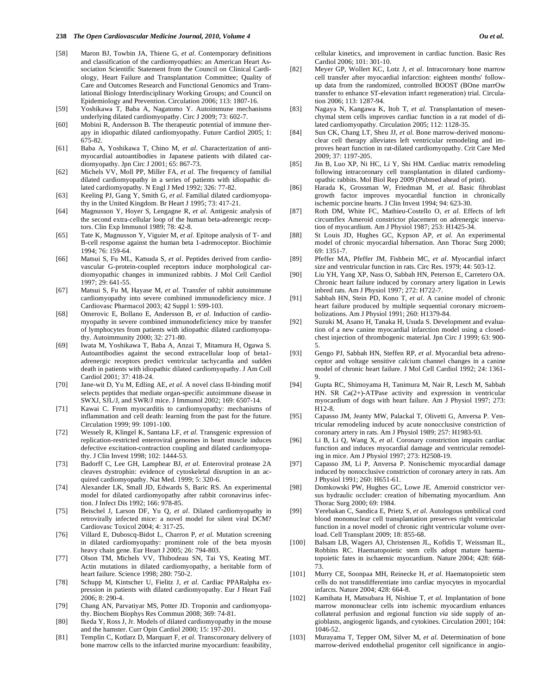- [58] Maron BJ, Towbin JA, Thiene G, *et al*. Contemporary definitions and classification of the cardiomyopathies: an American Heart Association Scientific Statement from the Council on Clinical Cardiology, Heart Failure and Transplantation Committee; Quality of Care and Outcomes Research and Functional Genomics and Translational Biology Interdisciplinary Working Groups; and Council on Epidemiology and Prevention. Circulation 2006; 113: 1807-16.
- [59] Yoshikawa T, Baba A, Nagatomo Y. Autoimmune mechanisms underlying dilated cardiomyopathy. Circ J 2009; 73: 602-7.
- [60] Mobini R, Andersson B. The therapeutic potential of immune therapy in idiopathic dilated cardiomyopathy. Future Cardiol 2005; 1: 675-82.
- [61] Baba A, Yoshikawa T, Chino M, *et al*. Characterization of antimyocardial autoantibodies in Japanese patients with dilated cardiomyopathy. Jpn Circ J 2001; 65: 867-73.
- [62] Michels VV, Moll PP, Miller FA, *et al*. The frequency of familial dilated cardiomyopathy in a series of patients with idiopathic dilated cardiomyopathy. N Engl J Med 1992; 326: 77-82.
- [63] Keeling PJ, Gang Y, Smith G, *et al*. Familial dilated cardiomyopathy in the United Kingdom. Br Heart J 1995; 73: 417-21.
- [64] Magnusson Y, Hoyer S, Lengagne R, *et al*. Antigenic analysis of the second extra-cellular loop of the human beta-adrenergic receptors. Clin Exp Immunol 1989; 78: 42-8.
- [65] Tate K, Magnusson Y, Viguier M, *et al*. Epitope analysis of T- and B-cell response against the human beta 1-adrenoceptor. Biochimie 1994; 76: 159-64.
- [66] Matsui S, Fu ML, Katsuda S, *et al*. Peptides derived from cardiovascular G-protein-coupled receptors induce morphological cardiomyopathic changes in immunized rabbits. J Mol Cell Cardiol 1997; 29: 641-55.
- [67] Matsui S, Fu M, Hayase M, *et al*. Transfer of rabbit autoimmune cardiomyopathy into severe combined immunodeficiency mice. J Cardiovasc Pharmacol 2003; 42 Suppl 1: S99-103.
- [68] Omerovic E, Bollano E, Andersson B, *et al*. Induction of cardiomyopathy in severe combined immunodeficiency mice by transfer of lymphocytes from patients with idiopathic dilated cardiomyopathy. Autoimmunity 2000; 32: 271-80.
- [69] Iwata M, Yoshikawa T, Baba A, Anzai T, Mitamura H, Ogawa S. Autoantibodies against the second extracellular loop of beta1 adrenergic receptors predict ventricular tachycardia and sudden death in patients with idiopathic dilated cardiomyopathy. J Am Coll Cardiol 2001; 37: 418-24.
- [70] Jane-wit D, Yu M, Edling AE, *et al*. A novel class II-binding motif selects peptides that mediate organ-specific autoimmune disease in SWXJ, SJL/J, and SWR/J mice. J Immunol 2002; 169: 6507-14.
- [71] Kawai C. From myocarditis to cardiomyopathy: mechanisms of inflammation and cell death: learning from the past for the future. Circulation 1999; 99: 1091-100.
- [72] Wessely R, Klingel K, Santana LF, *et al*. Transgenic expression of replication-restricted enteroviral genomes in heart muscle induces defective excitation-contraction coupling and dilated cardiomyopathy. J Clin Invest 1998; 102: 1444-53.
- [73] Badorff C, Lee GH, Lamphear BJ, *et al*. Enteroviral protease 2A cleaves dystrophin: evidence of cytoskeletal disruption in an acquired cardiomyopathy. Nat Med. 1999; 5: 320-6.
- [74] Alexander LK, Small JD, Edwards S, Baric RS. An experimental model for dilated cardiomyopathy after rabbit coronavirus infection. J Infect Dis 1992; 166: 978-85.
- [75] Beischel J, Larson DF, Yu Q, *et al*. Dilated cardiomyopathy in retrovirally infected mice: a novel model for silent viral DCM? Cardiovasc Toxicol 2004; 4: 317-25.
- [76] Villard E, Duboscq-Bidot L, Charron P, *et al*. Mutation screening in dilated cardiomyopathy: prominent role of the beta myosin heavy chain gene. Eur Heart J 2005; 26: 794-803.
- [77] Olson TM, Michels VV, Thibodeau SN, Tai YS, Keating MT. Actin mutations in dilated cardiomyopathy, a heritable form of heart failure. Science 1998; 280: 750-2.
- [78] Schupp M, Kintscher U, Fielitz J, *et al*. Cardiac PPARalpha expression in patients with dilated cardiomyopathy. Eur J Heart Fail 2006; 8: 290-4.
- [79] Chang AN, Parvatiyar MS, Potter JD. Troponin and cardiomyopathy. Biochem Biophys Res Commun 2008; 369: 74-81.
- [80] Ikeda Y, Ross J, Jr. Models of dilated cardiomyopathy in the mouse and the hamster. Curr Opin Cardiol 2000; 15: 197-201.
- [81] Templin C, Kotlarz D, Marquart F, *et al*. Transcoronary delivery of bone marrow cells to the infarcted murine myocardium: feasibility,

cellular kinetics, and improvement in cardiac function. Basic Res Cardiol 2006; 101: 301-10.

- [82] Meyer GP, Wollert KC, Lotz J, *et al*. Intracoronary bone marrow cell transfer after myocardial infarction: eighteen months' followup data from the randomized, controlled BOOST (BOne marrOw transfer to enhance ST-elevation infarct regeneration) trial. Circulation 2006; 113: 1287-94.
- [83] Nagaya N, Kangawa K, Itoh T, *et al*. Transplantation of mesenchymal stem cells improves cardiac function in a rat model of dilated cardiomyopathy. Circulation 2005; 112: 1128-35.
- [84] Sun CK, Chang LT, Sheu JJ, et al. Bone marrow-derived mononuclear cell therapy alleviates left ventricular remodeling and improves heart function in rat-dilated cardiomyopathy. Crit Care Med 2009; 37: 1197-205.
- [85] Jin B, Luo XP, Ni HC, Li Y, Shi HM. Cardiac matrix remodeling following intracoronary cell transplantation in dilated cardiomyopathic rabbits. Mol Biol Rep 2009 (Pubmed ahead of print).
- [86] Harada K, Grossman W, Friedman M, *et al*. Basic fibroblast growth factor improves myocardial function in chronically ischemic porcine hearts. J Clin Invest 1994; 94: 623-30.
- [87] Roth DM, White FC, Mathieu-Costello O, *et al*. Effects of left circumflex Ameroid constrictor placement on adrenergic innervation of myocardium. Am J Physiol 1987; 253: H1425-34.
- [88] St Louis JD, Hughes GC, Kypson AP, *et al*. An experimental model of chronic myocardial hibernation. Ann Thorac Surg 2000; 69: 1351-7.
- [89] Pfeffer MA, Pfeffer JM, Fishbein MC, *et al*. Myocardial infarct size and ventricular function in rats. Circ Res. 1979; 44: 503-12.
- [90] Liu YH, Yang XP, Nass O, Sabbah HN, Peterson E, Carretero OA. Chronic heart failure induced by coronary artery ligation in Lewis inbred rats. Am J Physiol 1997; 272: H722-7.
- [91] Sabbah HN, Stein PD, Kono T, *et al*. A canine model of chronic heart failure produced by multiple sequential coronary microembolizations. Am J Physiol 1991; 260: H1379-84.
- [92] Suzuki M, Asano H, Tanaka H, Usuda S. Development and evaluation of a new canine myocardial infarction model using a closedchest injection of thrombogenic material. Jpn Circ J 1999; 63: 900- 5.
- [93] Gengo PJ, Sabbah HN, Steffen RP, *et al*. Myocardial beta adrenoceptor and voltage sensitive calcium channel changes in a canine model of chronic heart failure. J Mol Cell Cardiol 1992; 24: 1361- 9.
- [94] Gupta RC, Shimoyama H, Tanimura M, Nair R, Lesch M, Sabbah HN. SR Ca(2+)-ATPase activity and expression in ventricular myocardium of dogs with heart failure. Am J Physiol 1997; 273: H12-8.
- [95] Capasso JM, Jeanty MW, Palackal T, Olivetti G, Anversa P. Ventricular remodeling induced by acute nonocclusive constriction of coronary artery in rats. Am J Physiol 1989; 257: H1983-93.
- [96] Li B, Li Q, Wang X, *et al*. Coronary constriction impairs cardiac function and induces myocardial damage and ventricular remodeling in mice. Am J Physiol 1997; 273: H2508-19.
- [97] Capasso JM, Li P, Anversa P. Nonischemic myocardial damage induced by nonocclusive constriction of coronary artery in rats. Am J Physiol 1991; 260: H651-61.
- [98] Domkowski PW, Hughes GC, Lowe JE. Ameroid constrictor versus hydraulic occluder: creation of hibernating myocardium. Ann Thorac Surg 2000; 69: 1984.
- [99] Yerebakan C, Sandica E, Prietz S, *et al*. Autologous umbilical cord blood mononuclear cell transplantation preserves right ventricular function in a novel model of chronic right ventricular volume overload. Cell Transplant 2009; 18: 855-68.
- [100] Balsam LB, Wagers AJ, Christensen JL, Kofidis T, Weissman IL, Robbins RC. Haematopoietic stem cells adopt mature haematopoietic fates in ischaemic myocardium. Nature 2004; 428: 668- 73.
- [101] Murry CE, Soonpaa MH, Reinecke H, *et al*. Haematopoietic stem cells do not transdifferentiate into cardiac myocytes in myocardial infarcts. Nature 2004; 428: 664-8.
- [102] Kamihata H, Matsubara H, Nishiue T, *et al*. Implantation of bone marrow mononuclear cells into ischemic myocardium enhances collateral perfusion and regional function *via* side supply of angioblasts, angiogenic ligands, and cytokines. Circulation 2001; 104: 1046-52.
- [103] Murayama T, Tepper OM, Silver M, *et al*. Determination of bone marrow-derived endothelial progenitor cell significance in angio-